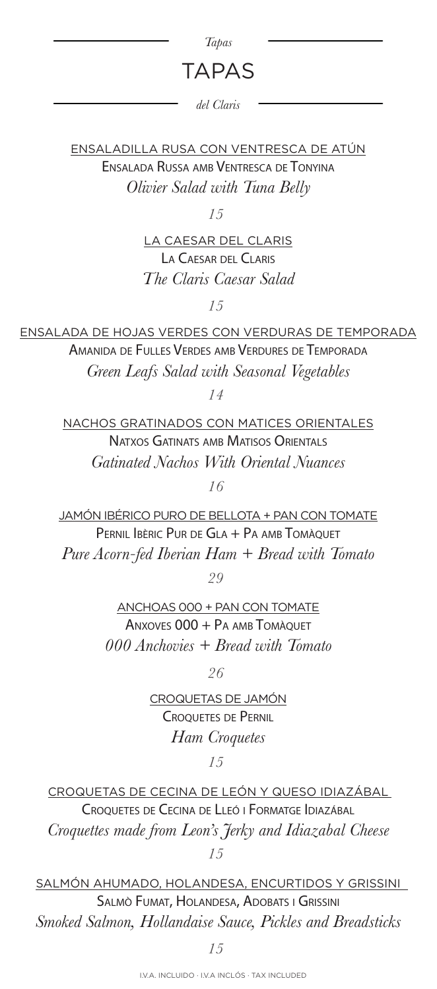## *Tapas*

## TAPAS

*del Claris*

ENSALADILLA RUSA CON VENTRESCA DE ATÚN Ensalada Russa amb Ventresca de Tonyina *Olivier Salad with Tuna Belly*

*15*

LA CAESAR DEL CLARIS La Caesar del Claris *The Claris Caesar Salad*

*15*

ENSALADA DE HOJAS VERDES CON VERDURAS DE TEMPORADA Amanida de Fulles Verdes amb Verdures de Temporada *Green Leafs Salad with Seasonal Vegetables*

*14*

NACHOS GRATINADOS CON MATICES ORIENTALES NATXOS GATINATS AMB MATISOS ORIENTALS *Gatinated Nachos With Oriental Nuances*

*16*

JAMÓN IBÉRICO PURO DE BELLOTA + PAN CON TOMATE PERNIL IBÈRIC PUR DE GLA + PA AMB TOMÀQUET *Pure Acorn-fed Iberian Ham + Bread with Tomato*

*29*

ANCHOAS 000 + PAN CON TOMATE  $A$ nxoves  $000 + PA$  amb Tomàquet *000 Anchovies + Bread with Tomato*

*26*

CROQUETAS DE JAMÓN Croquetes de Pernil *Ham Croquetes*

*15*

CROQUETAS DE CECINA DE LEÓN Y QUESO IDIAZÁBAL Croquetes de Cecina de Lleó i Formatge Idiazábal *Croquettes made from Leon's Jerky and Idiazabal Cheese 15*

SALMÓN AHUMADO, HOLANDESA, ENCURTIDOS Y GRISSINI Salmò Fumat, Holandesa, Adobats i Grissini *Smoked Salmon, Hollandaise Sauce, Pickles and Breadsticks*